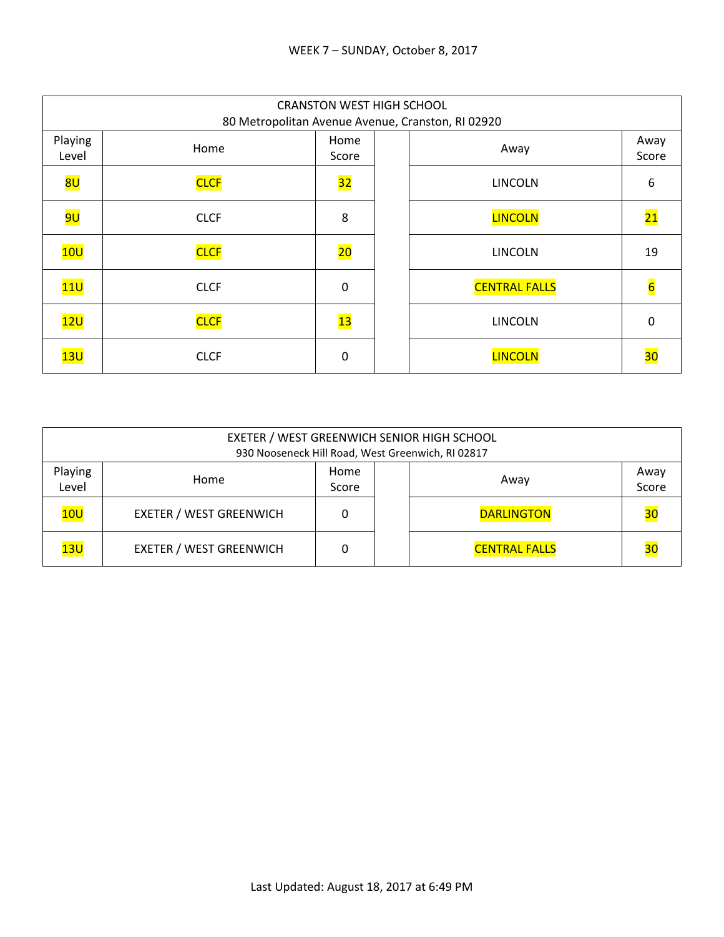|                  | <b>CRANSTON WEST HIGH SCHOOL</b><br>80 Metropolitan Avenue Avenue, Cranston, RI 02920 |                          |  |                      |                 |  |  |  |
|------------------|---------------------------------------------------------------------------------------|--------------------------|--|----------------------|-----------------|--|--|--|
| Playing<br>Level | Home                                                                                  | Home<br>Score            |  | Away                 | Away<br>Score   |  |  |  |
| <mark>8U</mark>  | <b>CLCF</b>                                                                           | $\overline{\textbf{32}}$ |  | <b>LINCOLN</b>       | 6               |  |  |  |
| <mark>9U</mark>  | <b>CLCF</b>                                                                           | 8                        |  | <b>LINCOLN</b>       | $\overline{21}$ |  |  |  |
| 10U              | <b>CLCF</b>                                                                           | $\overline{20}$          |  | <b>LINCOLN</b>       | 19              |  |  |  |
| 11U              | <b>CLCF</b>                                                                           | 0                        |  | <b>CENTRAL FALLS</b> | $6\overline{6}$ |  |  |  |
| 12U              | <b>CLCF</b>                                                                           | 13                       |  | <b>LINCOLN</b>       | 0               |  |  |  |
| 13U              | <b>CLCF</b>                                                                           | 0                        |  | <b>LINCOLN</b>       | 30              |  |  |  |

| EXETER / WEST GREENWICH SENIOR HIGH SCHOOL<br>930 Nooseneck Hill Road, West Greenwich, RI 02817 |                                |  |      |                      |    |  |  |
|-------------------------------------------------------------------------------------------------|--------------------------------|--|------|----------------------|----|--|--|
| Playing<br>Level                                                                                | Home                           |  | Away | Away<br>Score        |    |  |  |
| 10U                                                                                             | <b>EXETER / WEST GREENWICH</b> |  |      | <b>DARLINGTON</b>    | 30 |  |  |
| 13U                                                                                             | <b>EXETER / WEST GREENWICH</b> |  |      | <b>CENTRAL FALLS</b> | 30 |  |  |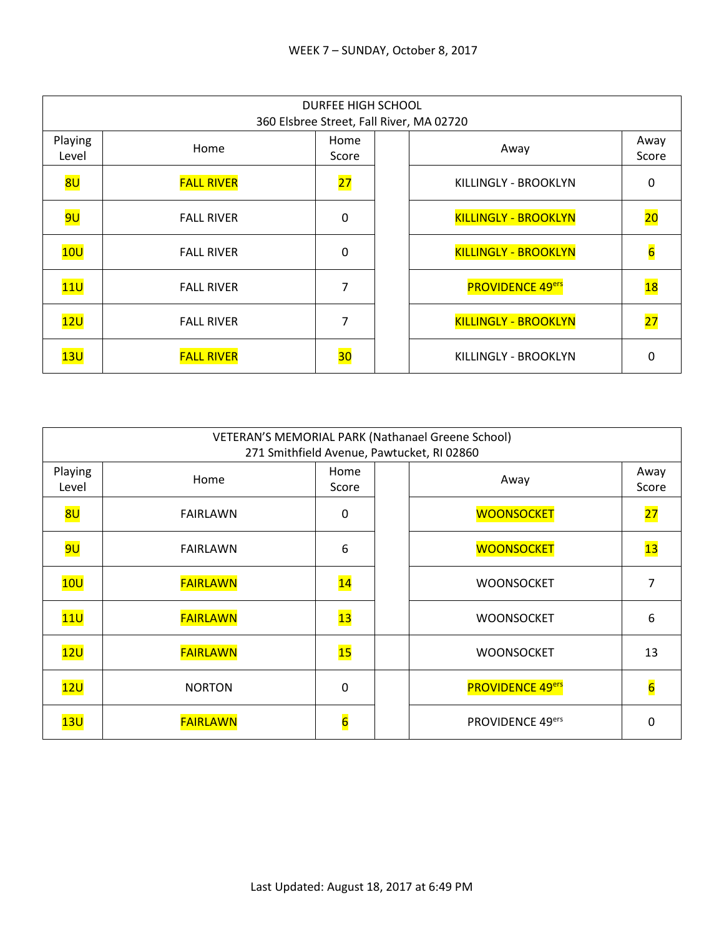|                  | DURFEE HIGH SCHOOL<br>360 Elsbree Street, Fall River, MA 02720 |               |  |                             |                 |  |  |  |
|------------------|----------------------------------------------------------------|---------------|--|-----------------------------|-----------------|--|--|--|
| Playing<br>Level | Home                                                           | Home<br>Score |  | Away                        | Away<br>Score   |  |  |  |
| 8U               | <b>FALL RIVER</b>                                              | 27            |  | KILLINGLY - BROOKLYN        | 0               |  |  |  |
| <mark>9U</mark>  | <b>FALL RIVER</b>                                              | $\mathbf 0$   |  | <b>KILLINGLY - BROOKLYN</b> | 20              |  |  |  |
| 10U              | <b>FALL RIVER</b>                                              | $\mathbf 0$   |  | <b>KILLINGLY - BROOKLYN</b> | $6\overline{6}$ |  |  |  |
| 11U              | <b>FALL RIVER</b>                                              | 7             |  | <b>PROVIDENCE 49ers</b>     | 18              |  |  |  |
| 12U              | <b>FALL RIVER</b>                                              | 7             |  | <b>KILLINGLY - BROOKLYN</b> | $\overline{27}$ |  |  |  |
| 13U              | <b>FALL RIVER</b>                                              | 30            |  | KILLINGLY - BROOKLYN        | O               |  |  |  |

| VETERAN'S MEMORIAL PARK (Nathanael Greene School)<br>271 Smithfield Avenue, Pawtucket, RI 02860 |                 |                 |  |                         |                |  |  |
|-------------------------------------------------------------------------------------------------|-----------------|-----------------|--|-------------------------|----------------|--|--|
| Playing<br>Level                                                                                | Home            | Home<br>Score   |  | Away                    | Away<br>Score  |  |  |
| 8U                                                                                              | <b>FAIRLAWN</b> | $\mathbf 0$     |  | <b>WOONSOCKET</b>       | 27             |  |  |
| <mark>9U</mark>                                                                                 | <b>FAIRLAWN</b> | 6               |  | <b>WOONSOCKET</b>       | 13             |  |  |
| 10U                                                                                             | <b>FAIRLAWN</b> | $\overline{14}$ |  | <b>WOONSOCKET</b>       | 7              |  |  |
| 11U                                                                                             | <b>FAIRLAWN</b> | $\overline{13}$ |  | <b>WOONSOCKET</b>       | 6              |  |  |
| 12U                                                                                             | <b>FAIRLAWN</b> | 15              |  | <b>WOONSOCKET</b>       | 13             |  |  |
| 12U                                                                                             | <b>NORTON</b>   | 0               |  | <b>PROVIDENCE 49ers</b> | $\overline{6}$ |  |  |
| 13U                                                                                             | <b>FAIRLAWN</b> | $\overline{6}$  |  | PROVIDENCE 49ers        | O              |  |  |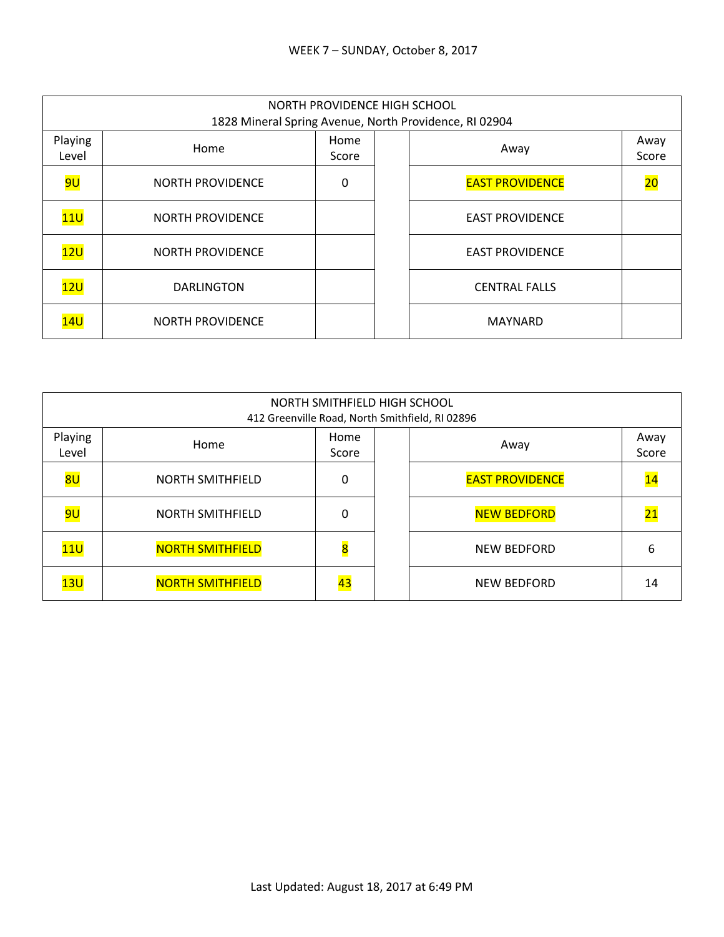|                  | NORTH PROVIDENCE HIGH SCHOOL<br>1828 Mineral Spring Avenue, North Providence, RI 02904 |               |  |                        |                 |  |  |  |
|------------------|----------------------------------------------------------------------------------------|---------------|--|------------------------|-----------------|--|--|--|
| Playing<br>Level | Home                                                                                   | Home<br>Score |  | Away                   | Away<br>Score   |  |  |  |
| <mark>9U</mark>  | <b>NORTH PROVIDENCE</b>                                                                | 0             |  | <b>EAST PROVIDENCE</b> | $\overline{20}$ |  |  |  |
| 11U              | <b>NORTH PROVIDENCE</b>                                                                |               |  | <b>EAST PROVIDENCE</b> |                 |  |  |  |
| 12U              | <b>NORTH PROVIDENCE</b>                                                                |               |  | <b>EAST PROVIDENCE</b> |                 |  |  |  |
| 12U              | <b>DARLINGTON</b>                                                                      |               |  | <b>CENTRAL FALLS</b>   |                 |  |  |  |
| 14U              | <b>NORTH PROVIDENCE</b>                                                                |               |  | <b>MAYNARD</b>         |                 |  |  |  |

|                  | NORTH SMITHFIELD HIGH SCHOOL<br>412 Greenville Road, North Smithfield, RI 02896 |                         |  |                        |                 |  |  |
|------------------|---------------------------------------------------------------------------------|-------------------------|--|------------------------|-----------------|--|--|
| Playing<br>Level | Home                                                                            | Home<br>Score           |  | Away                   | Away<br>Score   |  |  |
| 8U               | <b>NORTH SMITHFIELD</b>                                                         | 0                       |  | <b>EAST PROVIDENCE</b> | 14              |  |  |
| 9U               | <b>NORTH SMITHFIELD</b>                                                         | 0                       |  | <b>NEW BEDFORD</b>     | $\overline{21}$ |  |  |
| 11U              | <b>NORTH SMITHFIELD</b>                                                         | $\overline{\mathbf{8}}$ |  | <b>NEW BEDFORD</b>     | 6               |  |  |
| 13U              | <b>NORTH SMITHFIELD</b>                                                         | 43                      |  | <b>NEW BEDFORD</b>     | 14              |  |  |